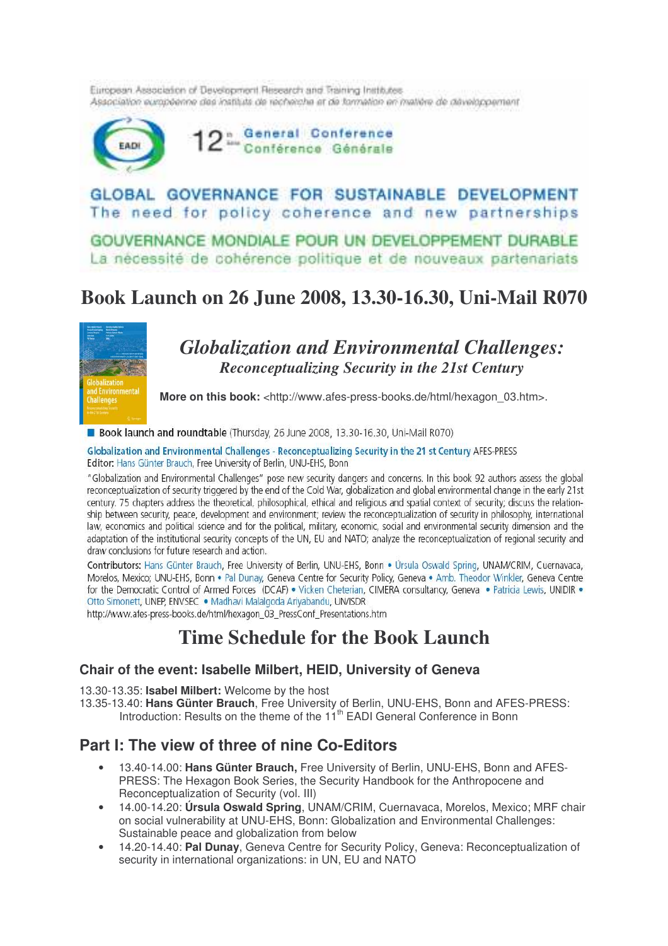European Association of Development Research and Training Institutes. Association européenne das instituts de recherche et de formation en mattére de développement



GLOBAL GOVERNANCE FOR SUSTAINABLE DEVELOPMENT The need for policy coherence and new partnerships

GOUVERNANCE MONDIALE POUR UN DEVELOPPEMENT DURABLE La nécessité de cohérence politique et de nouveaux partenariats

# **Book Launch on 26 June 2008, 13.30-16.30, Uni-Mail R070**



## *Globalization and Environmental Challenges: Reconceptualizing Security in the 21st Century*

**More on this book:** <http://www.afes-press-books.de/html/hexagon\_03.htm>.

Book launch and roundtable (Thursday, 26 June 2008, 13.30-16.30, Uni-Mail R070)

Globalization and Environmental Challenges - Reconceptualizing Security in the 21 st Century AFES-PRESS Editor: Hans Günter Brauch, Free University of Berlin, UNU-EHS, Bonn

"Globalization and Environmental Challenges" pose new security dangers and concerns. In this book 92 authors assess the global reconceptualization of security triggered by the end of the Cold War, globalization and global environmental change in the early 21st century. 75 chapters address the theoretical, philosophical, ethical and religious and spatial context of security: discuss the relationship between security, peace, development and environment; review the reconceptualization of security in philosophy, international law, economics and political science and for the political, military, economic, social and environmental security dimension and the adaptation of the institutional security concepts of the UN, EU and NATO; analyze the reconceptualization of regional security and draw conclusions for future research and action.

Contributors: Hans Günter Brauch, Free University of Berlin, UNU-EHS, Bonn . Úrsula Oswald Spring, UNAM/CRIM, Cuernayaca, Morelos, Mexico; UNU-EHS, Bonn . Pal Dunay, Geneva Centre for Security Policy, Geneva . Amb. Theodor Winkler, Geneva Centre for the Democratic Control of Armed Forces (DCAF) . Vicken Cheterian, CIMERA consultancy, Geneva . Patricia Lewis, UNIDIR . Otto Simonett, UNEP, ENVSEC . Madhavi Malalgoda Ariyabandu, UN/ISDR

http://www.afes-press-books.de/html/hexagon\_03\_PressConf\_Presentations.htm

## **Time Schedule for the Book Launch**

#### **Chair of the event: Isabelle Milbert, HEID, University of Geneva**

13.30-13.35: **Isabel Milbert:** Welcome by the host

13.35-13.40: **Hans Günter Brauch**, Free University of Berlin, UNU-EHS, Bonn and AFES-PRESS: Introduction: Results on the theme of the 11<sup>th</sup> EADI General Conference in Bonn

#### **Part I: The view of three of nine Co-Editors**

- 13.40-14.00: **Hans Günter Brauch,** Free University of Berlin, UNU-EHS, Bonn and AFES-PRESS: The Hexagon Book Series, the Security Handbook for the Anthropocene and Reconceptualization of Security (vol. III)
- 14.00-14.20: **Úrsula Oswald Spring**, UNAM/CRIM, Cuernavaca, Morelos, Mexico; MRF chair on social vulnerability at UNU-EHS, Bonn: Globalization and Environmental Challenges: Sustainable peace and globalization from below
- 14.20-14.40: **Pal Dunay**, Geneva Centre for Security Policy, Geneva: Reconceptualization of security in international organizations: in UN, EU and NATO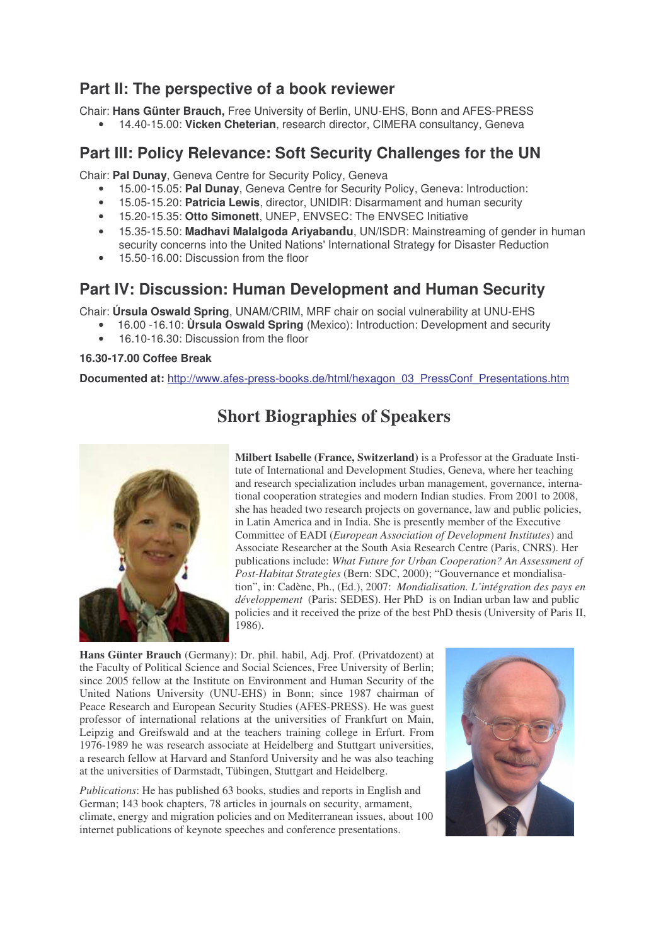### **Part II: The perspective of a book reviewer**

Chair: **Hans Günter Brauch,** Free University of Berlin, UNU-EHS, Bonn and AFES-PRESS

• 14.40-15.00: **Vicken Cheterian**, research director, CIMERA consultancy, Geneva

#### **Part III: Policy Relevance: Soft Security Challenges for the UN**

Chair: **Pal Dunay**, Geneva Centre for Security Policy, Geneva

- 15.00-15.05: **Pal Dunay**, Geneva Centre for Security Policy, Geneva: Introduction:
- 15.05-15.20: **Patricia Lewis**, director, UNIDIR: Disarmament and human security
- 15.20-15.35: **Otto Simonett**, UNEP, ENVSEC: The ENVSEC Initiative
- 15.35-15.50: **Madhavi Malalgoda Ariyabandu**, UN/ISDR: Mainstreaming of gender in human security concerns into the United Nations' International Strategy for Disaster Reduction
- 15.50-16.00: Discussion from the floor

### **Part IV: Discussion: Human Development and Human Security**

Chair: **Úrsula Oswald Spring**, UNAM/CRIM, MRF chair on social vulnerability at UNU-EHS

- 16.00 -16.10: **Ùrsula Oswald Spring** (Mexico): Introduction: Development and security
- 16.10-16.30: Discussion from the floor

#### **16.30-17.00 Coffee Break**

**Documented at:** http://www.afes-press-books.de/html/hexagon\_03\_PressConf\_Presentations.htm



# **Short Biographies of Speakers**

**Milbert Isabelle (France, Switzerland)** is a Professor at the Graduate Institute of International and Development Studies, Geneva, where her teaching and research specialization includes urban management, governance, international cooperation strategies and modern Indian studies. From 2001 to 2008, she has headed two research projects on governance, law and public policies, in Latin America and in India. She is presently member of the Executive Committee of EADI (*European Association of Development Institutes*) and Associate Researcher at the South Asia Research Centre (Paris, CNRS). Her publications include: *What Future for Urban Cooperation? An Assessment of Post-Habitat Strategies* (Bern: SDC, 2000); "Gouvernance et mondialisation", in: Cadène, Ph., (Ed.), 2007: *Mondialisation. L'intégration des pays en développement* (Paris: SEDES). Her PhD is on Indian urban law and public policies and it received the prize of the best PhD thesis (University of Paris II, 1986).

**Hans Günter Brauch** (Germany): Dr. phil. habil, Adj. Prof. (Privatdozent) at the Faculty of Political Science and Social Sciences, Free University of Berlin; since 2005 fellow at the Institute on Environment and Human Security of the United Nations University (UNU-EHS) in Bonn; since 1987 chairman of Peace Research and European Security Studies (AFES-PRESS). He was guest professor of international relations at the universities of Frankfurt on Main, Leipzig and Greifswald and at the teachers training college in Erfurt. From 1976-1989 he was research associate at Heidelberg and Stuttgart universities, a research fellow at Harvard and Stanford University and he was also teaching at the universities of Darmstadt, Tübingen, Stuttgart and Heidelberg.

*Publications*: He has published 63 books, studies and reports in English and German; 143 book chapters, 78 articles in journals on security, armament, climate, energy and migration policies and on Mediterranean issues, about 100 internet publications of keynote speeches and conference presentations.

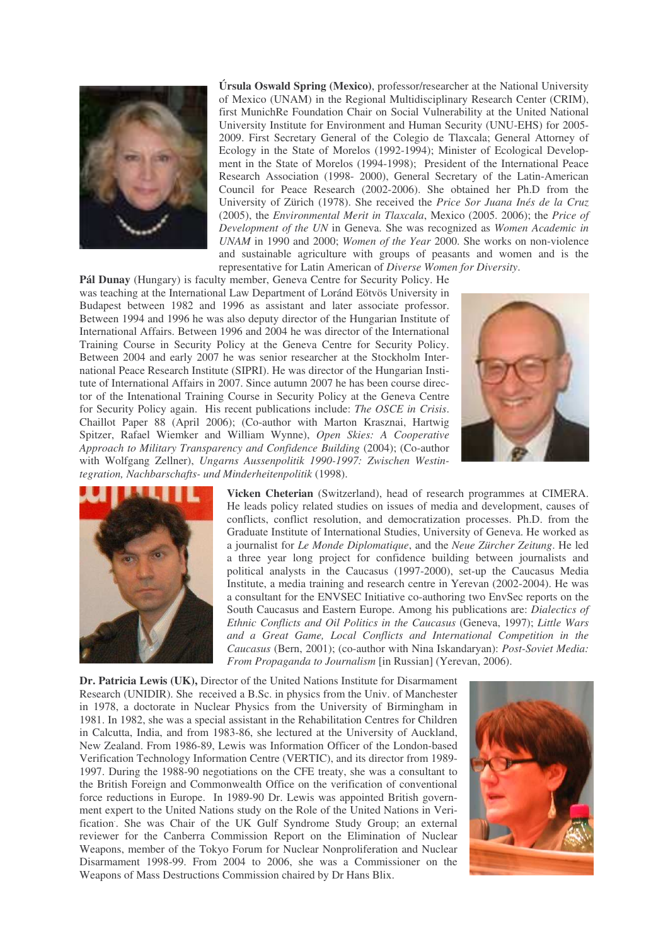

**Úrsula Oswald Spring (Mexico)**, professor/researcher at the National University of Mexico (UNAM) in the Regional Multidisciplinary Research Center (CRIM), first MunichRe Foundation Chair on Social Vulnerability at the United National University Institute for Environment and Human Security (UNU-EHS) for 2005- 2009. First Secretary General of the Colegio de Tlaxcala; General Attorney of Ecology in the State of Morelos (1992-1994); Minister of Ecological Development in the State of Morelos (1994-1998); President of the International Peace Research Association (1998- 2000), General Secretary of the Latin-American Council for Peace Research (2002-2006). She obtained her Ph.D from the University of Zürich (1978). She received the *Price Sor Juana Inés de la Cruz* (2005), the *Environmental Merit in Tlaxcala*, Mexico (2005. 2006); the *Price of Development of the UN* in Geneva. She was recognized as *Women Academic in UNAM* in 1990 and 2000; *Women of the Year* 2000. She works on non-violence and sustainable agriculture with groups of peasants and women and is the representative for Latin American of *Diverse Women for Diversity*.

**Pál Dunay** (Hungary) is faculty member, Geneva Centre for Security Policy. He was teaching at the International Law Department of Loránd Eötvös University in Budapest between 1982 and 1996 as assistant and later associate professor. Between 1994 and 1996 he was also deputy director of the Hungarian Institute of International Affairs. Between 1996 and 2004 he was director of the International Training Course in Security Policy at the Geneva Centre for Security Policy. Between 2004 and early 2007 he was senior researcher at the Stockholm International Peace Research Institute (SIPRI). He was director of the Hungarian Institute of International Affairs in 2007. Since autumn 2007 he has been course director of the Intenational Training Course in Security Policy at the Geneva Centre for Security Policy again. His recent publications include: *The OSCE in Crisis*. Chaillot Paper 88 (April 2006); (Co-author with Marton Krasznai, Hartwig Spitzer, Rafael Wiemker and William Wynne), *Open Skies: A Cooperative Approach to Military Transparency and Confidence Building* (2004); (Co-author with Wolfgang Zellner), *Ungarns Aussenpolitik 1990-1997: Zwischen Westintegration, Nachbarschafts- und Minderheitenpolitik* (1998).





**Vicken Cheterian** (Switzerland), head of research programmes at CIMERA. He leads policy related studies on issues of media and development, causes of conflicts, conflict resolution, and democratization processes. Ph.D. from the Graduate Institute of International Studies, University of Geneva. He worked as a journalist for *Le Monde Diplomatique*, and the *Neue Zürcher Zeitung*. He led a three year long project for confidence building between journalists and political analysts in the Caucasus (1997-2000), set-up the Caucasus Media Institute, a media training and research centre in Yerevan (2002-2004). He was a consultant for the ENVSEC Initiative co-authoring two EnvSec reports on the South Caucasus and Eastern Europe. Among his publications are: *Dialectics of Ethnic Conflicts and Oil Politics in the Caucasus* (Geneva, 1997); *Little Wars and a Great Game, Local Conflicts and International Competition in the Caucasus* (Bern, 2001); (co-author with Nina Iskandaryan): *Post-Soviet Media: From Propaganda to Journalism* [in Russian] (Yerevan, 2006).

**Dr. Patricia Lewis (UK),** Director of the United Nations Institute for Disarmament Research (UNIDIR). She received a B.Sc. in physics from the Univ. of Manchester in 1978, a doctorate in Nuclear Physics from the University of Birmingham in 1981. In 1982, she was a special assistant in the Rehabilitation Centres for Children in Calcutta, India, and from 1983-86, she lectured at the University of Auckland, New Zealand. From 1986-89, Lewis was Information Officer of the London-based Verification Technology Information Centre (VERTIC), and its director from 1989- 1997. During the 1988-90 negotiations on the CFE treaty, she was a consultant to the British Foreign and Commonwealth Office on the verification of conventional force reductions in Europe. In 1989-90 Dr. Lewis was appointed British government expert to the United Nations study on the Role of the United Nations in Verification . . She was Chair of the UK Gulf Syndrome Study Group; an external reviewer for the Canberra Commission Report on the Elimination of Nuclear Weapons, member of the Tokyo Forum for Nuclear Nonproliferation and Nuclear Disarmament 1998-99. From 2004 to 2006, she was a Commissioner on the Weapons of Mass Destructions Commission chaired by Dr Hans Blix.